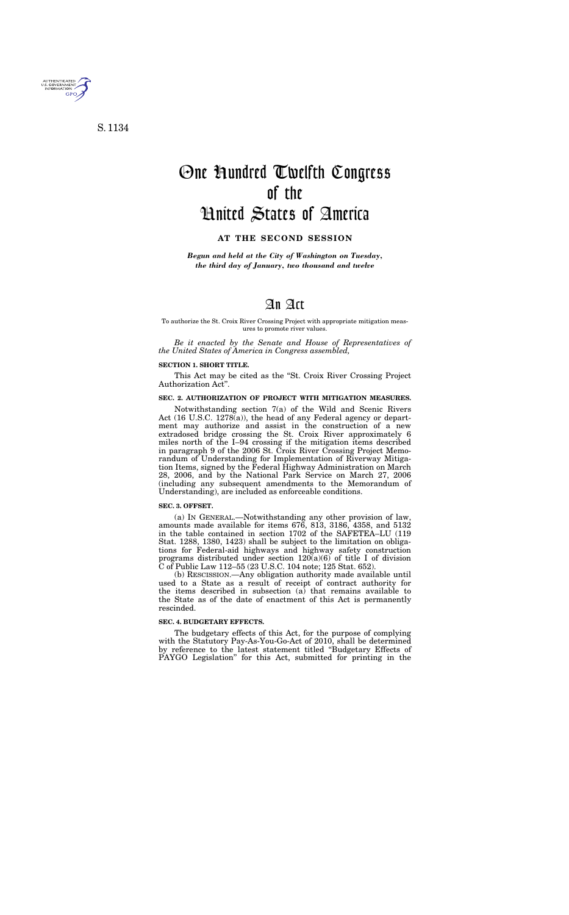# An Act

### To authorize the St. Croix River Crossing Project with appropriate mitigation measures to promote river values.

*Be it enacted by the Senate and House of Representatives of the United States of America in Congress assembled,* 

#### **SECTION 1. SHORT TITLE.**

This Act may be cited as the "St. Croix River Crossing Project Authorization Act''.

# **SEC. 2. AUTHORIZATION OF PROJECT WITH MITIGATION MEASURES.**

Notwithstanding section 7(a) of the Wild and Scenic Rivers Act (16 U.S.C. 1278(a)), the head of any Federal agency or department may authorize and assist in the construction of a new extradosed bridge crossing the St. Croix River approximately 6 miles north of the I–94 crossing if the mitigation items described in paragraph 9 of the 2006 St. Croix River Crossing Project Memorandum of Understanding for Implementation of Riverway Mitigation Items, signed by the Federal Highway Administration on March 28, 2006, and by the National Park Service on March 27, 2006 (including any subsequent amendments to the Memorandum of Understanding), are included as enforceable conditions.

### **SEC. 3. OFFSET.**

(a) IN GENERAL.—Notwithstanding any other provision of law, amounts made available for items 676, 813, 3186, 4358, and 5132 in the table contained in section 1702 of the SAFETEA–LU (119 Stat. 1288, 1380, 1423) shall be subject to the limitation on obligations for Federal-aid highways and highway safety construction programs distributed under section  $120(a)(6)$  of title I of division C of Public Law 112–55 (23 U.S.C. 104 note; 125 Stat. 652).

(b) RESCISSION.—Any obligation authority made available until used to a State as a result of receipt of contract authority for the items described in subsection  $(a)$  that remains available to the State as of the date of enactment of this Act is permanently rescinded.

# **SEC. 4. BUDGETARY EFFECTS.**

The budgetary effects of this Act, for the purpose of complying with the Statutory Pay-As-You-Go-Act of 2010, shall be determined by reference to the latest statement titled ''Budgetary Effects of PAYGO Legislation'' for this Act, submitted for printing in the